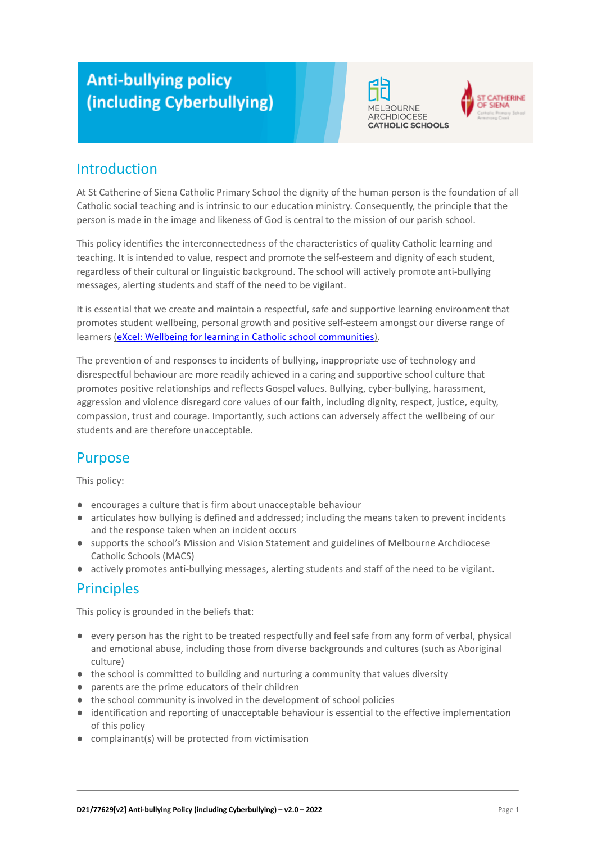# **Anti-bullying policy** (including Cyberbullying)





# Introduction

At St Catherine of Siena Catholic Primary School the dignity of the human person is the foundation of all Catholic social teaching and is intrinsic to our education ministry. Consequently, the principle that the person is made in the image and likeness of God is central to the mission of our parish school.

This policy identifies the interconnectedness of the characteristics of quality Catholic learning and teaching. It is intended to value, respect and promote the self-esteem and dignity of each student, regardless of their cultural or linguistic background. The school will actively promote anti-bullying messages, alerting students and staff of the need to be vigilant.

It is essential that we create and maintain a respectful, safe and supportive learning environment that promotes student wellbeing, personal growth and positive self-esteem amongst our diverse range of learners ([eXcel: Wellbeing for learning in Catholic](https://cevn.cecv.catholic.edu.au/Melb/Student-Support/Student-Wellbeing/eXcel#excel:-wellbeing-for-learning-in-catholic-school-communities) school communities).

The prevention of and responses to incidents of bullying, inappropriate use of technology and disrespectful behaviour are more readily achieved in a caring and supportive school culture that promotes positive relationships and reflects Gospel values. Bullying, cyber-bullying, harassment, aggression and violence disregard core values of our faith, including dignity, respect, justice, equity, compassion, trust and courage. Importantly, such actions can adversely affect the wellbeing of our students and are therefore unacceptable.

# **Purpose**

This policy:

- encourages a culture that is firm about unacceptable behaviour
- articulates how bullying is defined and addressed; including the means taken to prevent incidents and the response taken when an incident occurs
- supports the school's Mission and Vision Statement and guidelines of Melbourne Archdiocese Catholic Schools (MACS)
- actively promotes anti-bullying messages, alerting students and staff of the need to be vigilant.

# **Principles**

This policy is grounded in the beliefs that:

- every person has the right to be treated respectfully and feel safe from any form of verbal, physical and emotional abuse, including those from diverse backgrounds and cultures (such as Aboriginal culture)
- the school is committed to building and nurturing a community that values diversity
- parents are the prime educators of their children
- the school community is involved in the development of school policies
- identification and reporting of unacceptable behaviour is essential to the effective implementation of this policy
- complainant(s) will be protected from victimisation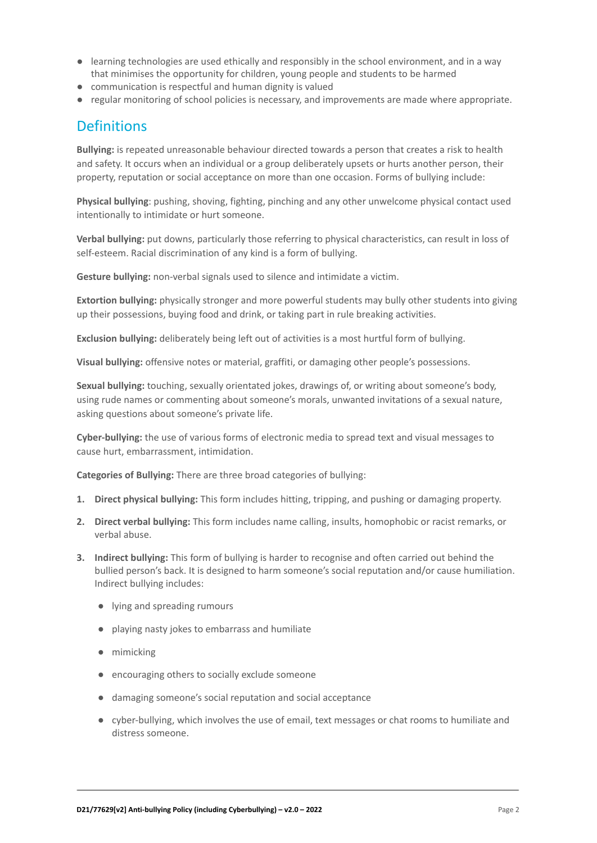- learning technologies are used ethically and responsibly in the school environment, and in a way that minimises the opportunity for children, young people and students to be harmed
- communication is respectful and human dignity is valued
- regular monitoring of school policies is necessary, and improvements are made where appropriate.

### **Definitions**

**Bullying:** is repeated unreasonable behaviour directed towards a person that creates a risk to health and safety. It occurs when an individual or a group deliberately upsets or hurts another person, their property, reputation or social acceptance on more than one occasion. Forms of bullying include:

**Physical bullying**: pushing, shoving, fighting, pinching and any other unwelcome physical contact used intentionally to intimidate or hurt someone.

**Verbal bullying:** put downs, particularly those referring to physical characteristics, can result in loss of self-esteem. Racial discrimination of any kind is a form of bullying.

**Gesture bullying:** non-verbal signals used to silence and intimidate a victim.

**Extortion bullying:** physically stronger and more powerful students may bully other students into giving up their possessions, buying food and drink, or taking part in rule breaking activities.

**Exclusion bullying:** deliberately being left out of activities is a most hurtful form of bullying.

**Visual bullying:** offensive notes or material, graffiti, or damaging other people's possessions.

**Sexual bullying:** touching, sexually orientated jokes, drawings of, or writing about someone's body, using rude names or commenting about someone's morals, unwanted invitations of a sexual nature, asking questions about someone's private life.

**Cyber-bullying:** the use of various forms of electronic media to spread text and visual messages to cause hurt, embarrassment, intimidation.

**Categories of Bullying:** There are three broad categories of bullying:

- **1. Direct physical bullying:** This form includes hitting, tripping, and pushing or damaging property.
- **2. Direct verbal bullying:** This form includes name calling, insults, homophobic or racist remarks, or verbal abuse.
- **3. Indirect bullying:** This form of bullying is harder to recognise and often carried out behind the bullied person's back. It is designed to harm someone's social reputation and/or cause humiliation. Indirect bullying includes:
	- lying and spreading rumours
	- playing nasty jokes to embarrass and humiliate
	- mimicking
	- encouraging others to socially exclude someone
	- damaging someone's social reputation and social acceptance
	- cyber-bullying, which involves the use of email, text messages or chat rooms to humiliate and distress someone.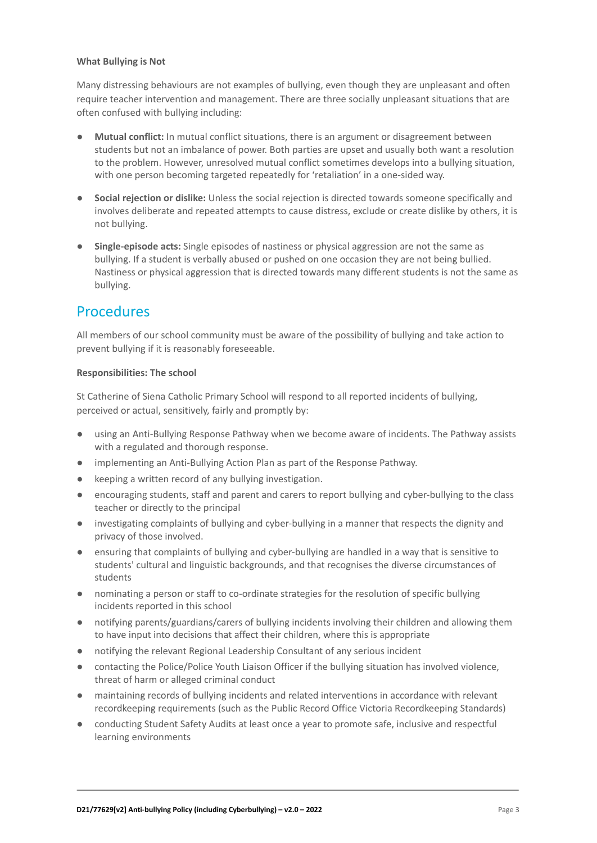#### **What Bullying is Not**

Many distressing behaviours are not examples of bullying, even though they are unpleasant and often require teacher intervention and management. There are three socially unpleasant situations that are often confused with bullying including:

- **● Mutual conflict:** In mutual conflict situations, there is an argument or disagreement between students but not an imbalance of power. Both parties are upset and usually both want a resolution to the problem. However, unresolved mutual conflict sometimes develops into a bullying situation, with one person becoming targeted repeatedly for 'retaliation' in a one-sided way.
- **● Social rejection or dislike:** Unless the social rejection is directed towards someone specifically and involves deliberate and repeated attempts to cause distress, exclude or create dislike by others, it is not bullying.
- **● Single-episode acts:** Single episodes of nastiness or physical aggression are not the same as bullying. If a student is verbally abused or pushed on one occasion they are not being bullied. Nastiness or physical aggression that is directed towards many different students is not the same as bullying.

### **Procedures**

All members of our school community must be aware of the possibility of bullying and take action to prevent bullying if it is reasonably foreseeable.

#### **Responsibilities: The school**

St Catherine of Siena Catholic Primary School will respond to all reported incidents of bullying, perceived or actual, sensitively, fairly and promptly by:

- using an Anti-Bullying Response Pathway when we become aware of incidents. The Pathway assists with a regulated and thorough response.
- implementing an Anti-Bullying Action Plan as part of the Response Pathway.
- keeping a written record of any bullying investigation.
- encouraging students, staff and parent and carers to report bullying and cyber-bullying to the class teacher or directly to the principal
- investigating complaints of bullying and cyber-bullying in a manner that respects the dignity and privacy of those involved.
- ensuring that complaints of bullying and cyber-bullying are handled in a way that is sensitive to students' cultural and linguistic backgrounds, and that recognises the diverse circumstances of students
- nominating a person or staff to co-ordinate strategies for the resolution of specific bullying incidents reported in this school
- notifying parents/guardians/carers of bullying incidents involving their children and allowing them to have input into decisions that affect their children, where this is appropriate
- notifying the relevant Regional Leadership Consultant of any serious incident
- contacting the Police/Police Youth Liaison Officer if the bullying situation has involved violence, threat of harm or alleged criminal conduct
- maintaining records of bullying incidents and related interventions in accordance with relevant recordkeeping requirements (such as the Public Record Office Victoria Recordkeeping Standards)
- conducting Student Safety Audits at least once a year to promote safe, inclusive and respectful learning environments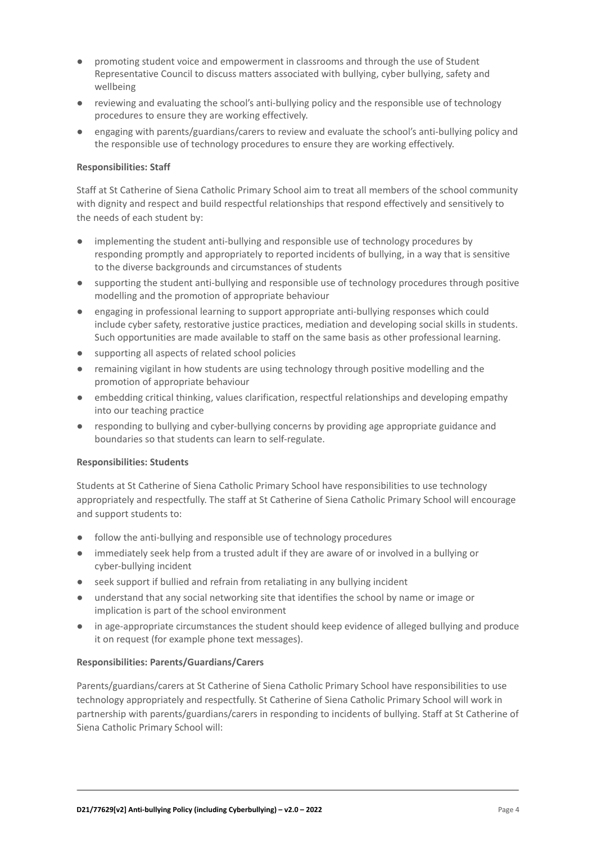- promoting student voice and empowerment in classrooms and through the use of Student Representative Council to discuss matters associated with bullying, cyber bullying, safety and wellbeing
- reviewing and evaluating the school's anti-bullying policy and the responsible use of technology procedures to ensure they are working effectively.
- **●** engaging with parents/guardians/carers to review and evaluate the school's anti-bullying policy and the responsible use of technology procedures to ensure they are working effectively.

#### **Responsibilities: Staff**

Staff at St Catherine of Siena Catholic Primary School aim to treat all members of the school community with dignity and respect and build respectful relationships that respond effectively and sensitively to the needs of each student by:

- implementing the student anti-bullying and responsible use of technology procedures by responding promptly and appropriately to reported incidents of bullying, in a way that is sensitive to the diverse backgrounds and circumstances of students
- supporting the student anti-bullying and responsible use of technology procedures through positive modelling and the promotion of appropriate behaviour
- engaging in professional learning to support appropriate anti-bullying responses which could include cyber safety, restorative justice practices, mediation and developing social skills in students. Such opportunities are made available to staff on the same basis as other professional learning.
- supporting all aspects of related school policies
- remaining vigilant in how students are using technology through positive modelling and the promotion of appropriate behaviour
- embedding critical thinking, values clarification, respectful relationships and developing empathy into our teaching practice
- responding to bullying and cyber-bullying concerns by providing age appropriate guidance and boundaries so that students can learn to self-regulate.

#### **Responsibilities: Students**

Students at St Catherine of Siena Catholic Primary School have responsibilities to use technology appropriately and respectfully. The staff at St Catherine of Siena Catholic Primary School will encourage and support students to:

- follow the anti-bullying and responsible use of technology procedures
- immediately seek help from a trusted adult if they are aware of or involved in a bullying or cyber-bullying incident
- seek support if bullied and refrain from retaliating in any bullying incident
- understand that any social networking site that identifies the school by name or image or implication is part of the school environment
- in age-appropriate circumstances the student should keep evidence of alleged bullying and produce it on request (for example phone text messages).

#### **Responsibilities: Parents/Guardians/Carers**

Parents/guardians/carers at St Catherine of Siena Catholic Primary School have responsibilities to use technology appropriately and respectfully. St Catherine of Siena Catholic Primary School will work in partnership with parents/guardians/carers in responding to incidents of bullying. Staff at St Catherine of Siena Catholic Primary School will: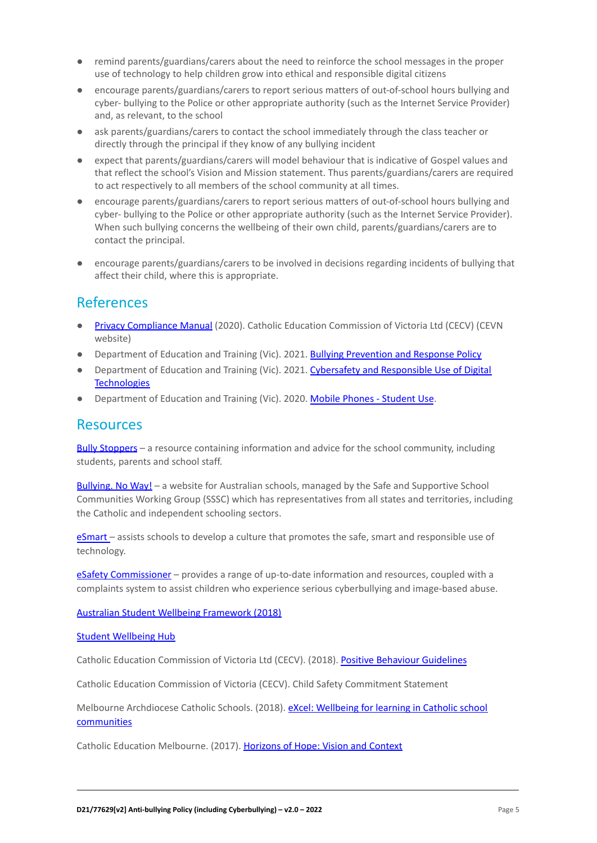- remind parents/guardians/carers about the need to reinforce the school messages in the proper use of technology to help children grow into ethical and responsible digital citizens
- encourage parents/guardians/carers to report serious matters of out-of-school hours bullying and cyber- bullying to the Police or other appropriate authority (such as the Internet Service Provider) and, as relevant, to the school
- ask parents/guardians/carers to contact the school immediately through the class teacher or directly through the principal if they know of any bullying incident
- expect that parents/guardians/carers will model behaviour that is indicative of Gospel values and that reflect the school's Vision and Mission statement. Thus parents/guardians/carers are required to act respectively to all members of the school community at all times.
- encourage parents/guardians/carers to report serious matters of out-of-school hours bullying and cyber- bullying to the Police or other appropriate authority (such as the Internet Service Provider). When such bullying concerns the wellbeing of their own child, parents/guardians/carers are to contact the principal.
- encourage parents/guardians/carers to be involved in decisions regarding incidents of bullying that affect their child, where this is appropriate.

# References

- [Privacy Compliance Manual](https://cevn.cecv.catholic.edu.au/Melb/Document-File/Polices-Compliance-and-Legal/Privacy/Privacy-Compliance-Manual.aspx) (2020). Catholic Education Commission of Victoria Ltd (CECV) (CEVN website)
- Department of Education and Training (Vic). 2021. [Bullying Prevention and Response Policy](https://www2.education.vic.gov.au/pal/bullying-prevention-response/policy)
- Department of Education and Training (Vic). 2021. [Cybersafety and Responsible Use of Digital](https://www2.education.vic.gov.au/pal/cybersafety/policy) **[Technologies](https://www2.education.vic.gov.au/pal/cybersafety/policy)**
- Department of Education and Training (Vic). 2020. [Mobile Phones Student Use](https://www2.education.vic.gov.au/pal/students-using-mobile-phones/policy).

#### Resources

Bully [Stoppers](https://www.education.vic.gov.au/about/programs/bullystoppers/Pages/default.aspx) – a resource containing information and advice for the school community, including students, parents and school staff.

[Bullying. No](https://bullyingnoway.gov.au/) Way! – a website for Australian schools, managed by the Safe and Supportive School Communities Working Group (SSSC) which has representatives from all states and territories, including the Catholic and independent schooling sectors.

[eSmart](https://www.education.vic.gov.au/about/programs/bullystoppers/Pages/esmart.aspx) - assists schools to develop a culture that promotes the safe, smart and responsible use of technology.

eSafety [Commissioner](https://www.esafety.gov.au/) - provides a range of up-to-date information and resources, coupled with a complaints system to assist children who experience serious cyberbullying and image-based abuse.

[Australian Student Wellbeing Framework \(2018\)](https://www.studentwellbeinghub.edu.au/docs/default-source/aswf_booklet-pdf.pdf)

[Student Wellbeing Hub](https://www.studentwellbeinghub.edu.au/)

Catholic Education Commission of Victoria Ltd (CECV). (2018). [Positive Behaviour Guidelines](http://www.cecv.catholic.edu.au/getmedia/bc1d235d-9a98-4bb4-b3ac-84b50fa7c639/CECV-Positive-Behaviour-Guidelines_FINAL2.aspx?ext=.pdf)

Catholic Education Commission of Victoria (CECV). Child Safety Commitment Statement

Melbourne Archdiocese Catholic Schools. (2018). eXcel: [Wellbeing for learning in Catholic school](https://www.cem.edu.au/Our-Schools/Curriculum-Learning-Programs/Student-Wellbeing/eXcel.aspx) [communities](https://www.cem.edu.au/Our-Schools/Curriculum-Learning-Programs/Student-Wellbeing/eXcel.aspx)

Catholic Education Melbourne. (2017). Horizons of [Hope: Vision and Context](https://www.cem.edu.au/Our-Schools/Curriculum-Learning-Programs/Horizons-of-Hope/Vision-Context.aspx)